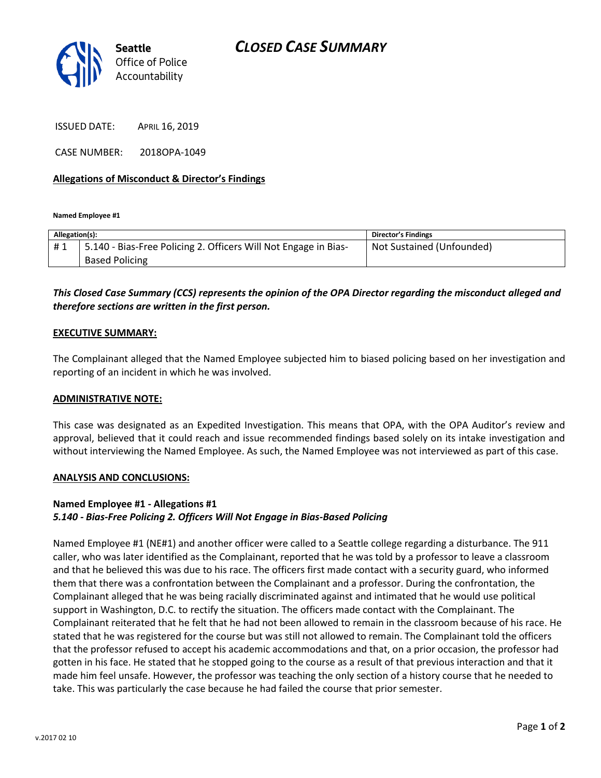

ISSUED DATE: APRIL 16, 2019

CASE NUMBER: 2018OPA-1049

### **Allegations of Misconduct & Director's Findings**

**Named Employee #1**

| Allegation(s): |                                                                 | Director's Findings       |
|----------------|-----------------------------------------------------------------|---------------------------|
| #1             | 5.140 - Bias-Free Policing 2. Officers Will Not Engage in Bias- | Not Sustained (Unfounded) |
|                | <b>Based Policing</b>                                           |                           |
|                |                                                                 |                           |

# *This Closed Case Summary (CCS) represents the opinion of the OPA Director regarding the misconduct alleged and therefore sections are written in the first person.*

#### **EXECUTIVE SUMMARY:**

The Complainant alleged that the Named Employee subjected him to biased policing based on her investigation and reporting of an incident in which he was involved.

#### **ADMINISTRATIVE NOTE:**

This case was designated as an Expedited Investigation. This means that OPA, with the OPA Auditor's review and approval, believed that it could reach and issue recommended findings based solely on its intake investigation and without interviewing the Named Employee. As such, the Named Employee was not interviewed as part of this case.

#### **ANALYSIS AND CONCLUSIONS:**

## **Named Employee #1 - Allegations #1** *5.140 - Bias-Free Policing 2. Officers Will Not Engage in Bias-Based Policing*

Named Employee #1 (NE#1) and another officer were called to a Seattle college regarding a disturbance. The 911 caller, who was later identified as the Complainant, reported that he was told by a professor to leave a classroom and that he believed this was due to his race. The officers first made contact with a security guard, who informed them that there was a confrontation between the Complainant and a professor. During the confrontation, the Complainant alleged that he was being racially discriminated against and intimated that he would use political support in Washington, D.C. to rectify the situation. The officers made contact with the Complainant. The Complainant reiterated that he felt that he had not been allowed to remain in the classroom because of his race. He stated that he was registered for the course but was still not allowed to remain. The Complainant told the officers that the professor refused to accept his academic accommodations and that, on a prior occasion, the professor had gotten in his face. He stated that he stopped going to the course as a result of that previous interaction and that it made him feel unsafe. However, the professor was teaching the only section of a history course that he needed to take. This was particularly the case because he had failed the course that prior semester.